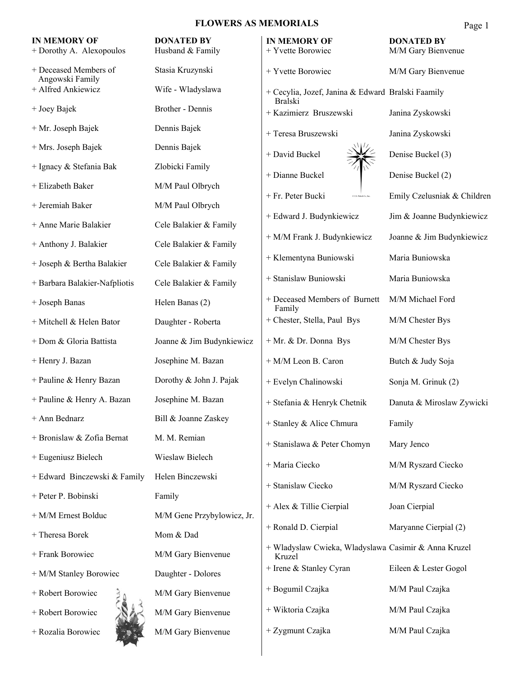### **FLOWERS AS MEMORIALS**

|                                                 | <b>FLOWERS AS MEMORIALS</b>           |                                                                | Page 1                                  |
|-------------------------------------------------|---------------------------------------|----------------------------------------------------------------|-----------------------------------------|
| <b>IN MEMORY OF</b><br>+ Dorothy A. Alexopoulos | <b>DONATED BY</b><br>Husband & Family | <b>IN MEMORY OF</b><br>+ Yvette Borowiec                       | <b>DONATED BY</b><br>M/M Gary Bienvenue |
| + Deceased Members of<br>Angowski Family        | Stasia Kruzynski                      | + Yvette Borowiec                                              | M/M Gary Bienvenue                      |
| + Alfred Ankiewicz                              | Wife - Wladyslawa                     | + Cecylia, Jozef, Janina & Edward Bralski Faamily              |                                         |
| + Joey Bajek                                    | Brother - Dennis                      | <b>Bralski</b><br>+ Kazimierz Bruszewski                       | Janina Zyskowski                        |
| + Mr. Joseph Bajek                              | Dennis Bajek                          | + Teresa Bruszewski                                            | Janina Zyskowski                        |
| + Mrs. Joseph Bajek                             | Dennis Bajek                          | + David Buckel                                                 | Denise Buckel (3)                       |
| + Ignacy & Stefania Bak                         | Zlobicki Family                       | + Dianne Buckel                                                | Denise Buckel (2)                       |
| + Elizabeth Baker                               | M/M Paul Olbrych                      | + Fr. Peter Bucki<br>0.1.5. Palack Co., In                     | Emily Czelusniak & Children             |
| + Jeremiah Baker                                | M/M Paul Olbrych                      |                                                                |                                         |
| + Anne Marie Balakier                           | Cele Balakier & Family                | + Edward J. Budynkiewicz                                       | Jim & Joanne Budynkiewicz               |
| + Anthony J. Balakier                           | Cele Balakier & Family                | + M/M Frank J. Budynkiewicz                                    | Joanne & Jim Budynkiewicz               |
| + Joseph & Bertha Balakier                      | Cele Balakier & Family                | + Klementyna Buniowski                                         | Maria Buniowska                         |
| + Barbara Balakier-Nafpliotis                   | Cele Balakier & Family                | + Stanislaw Buniowski                                          | Maria Buniowska                         |
| + Joseph Banas                                  | Helen Banas (2)                       | + Deceased Members of Burnett<br>Family                        | M/M Michael Ford                        |
| + Mitchell & Helen Bator                        | Daughter - Roberta                    | + Chester, Stella, Paul Bys                                    | M/M Chester Bys                         |
| + Dom & Gloria Battista                         | Joanne & Jim Budynkiewicz             | + Mr. & Dr. Donna Bys                                          | M/M Chester Bys                         |
| + Henry J. Bazan                                | Josephine M. Bazan                    | + M/M Leon B. Caron                                            | Butch & Judy Soja                       |
| + Pauline & Henry Bazan                         | Dorothy & John J. Pajak               | + Evelyn Chalinowski                                           | Sonja M. Grinuk (2)                     |
| + Pauline & Henry A. Bazan                      | Josephine M. Bazan                    | + Stefania & Henryk Chetnik                                    | Danuta & Miroslaw Zywicki               |
| + Ann Bednarz                                   | Bill & Joanne Zaskey                  | + Stanley & Alice Chmura                                       | Family                                  |
| + Bronislaw & Zofia Bernat                      | M. M. Remian                          | + Stanislawa & Peter Chomyn                                    | Mary Jenco                              |
| + Eugeniusz Bielech                             | Wieslaw Bielech                       | + Maria Ciecko                                                 | M/M Ryszard Ciecko                      |
| + Edward Binczewski & Family                    | Helen Binczewski                      | + Stanislaw Ciecko                                             | M/M Ryszard Ciecko                      |
| + Peter P. Bobinski                             | Family                                | + Alex & Tillie Cierpial                                       | Joan Cierpial                           |
| + M/M Ernest Bolduc                             | M/M Gene Przybylowicz, Jr.            |                                                                |                                         |
| + Theresa Borek                                 | Mom & Dad                             | + Ronald D. Cierpial                                           | Maryanne Cierpial (2)                   |
| + Frank Borowiec                                | M/M Gary Bienvenue                    | + Wladyslaw Cwieka, Wladyslawa Casimir & Anna Kruzel<br>Kruzel |                                         |
| + M/M Stanley Borowiec                          | Daughter - Dolores                    | + Irene & Stanley Cyran                                        | Eileen & Lester Gogol                   |
| + Robert Borowiec                               | M/M Gary Bienvenue                    | + Bogumil Czajka                                               | M/M Paul Czajka                         |
| + Robert Borowiec                               | M/M Gary Bienvenue                    | + Wiktoria Czajka                                              | M/M Paul Czajka                         |
| + Rozalia Borowiec                              | M/M Gary Bienvenue                    | + Zygmunt Czajka                                               | M/M Paul Czajka                         |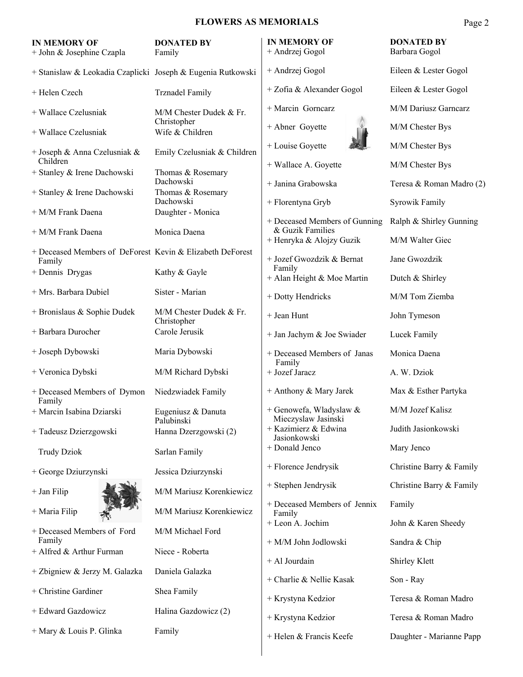## **FLOWERS AS MEMORIALS**

| <b>IN MEMORY OF</b><br>+ John & Josephine Czapla            | <b>DONATED BY</b><br>Family            | <b>IN MEMORY OF</b><br>+ Andrzej Gogol            | <b>DONATED BY</b><br>Barbara Gogol |
|-------------------------------------------------------------|----------------------------------------|---------------------------------------------------|------------------------------------|
| + Stanislaw & Leokadia Czaplicki Joseph & Eugenia Rutkowski |                                        | + Andrzej Gogol                                   | Eileen & Lester Gogol              |
| + Helen Czech                                               | <b>Trznadel Family</b>                 | + Zofia & Alexander Gogol                         | Eileen & Lester Gogol              |
| + Wallace Czelusniak                                        | M/M Chester Dudek & Fr.                | + Marcin Gornearz                                 | M/M Dariusz Garncarz               |
| + Wallace Czelusniak                                        | Christopher<br>Wife & Children         | + Abner Goyette                                   | M/M Chester Bys                    |
| + Joseph & Anna Czelusniak &                                | Emily Czelusniak & Children            | + Louise Goyette                                  | M/M Chester Bys                    |
| Children<br>+ Stanley & Irene Dachowski                     | Thomas & Rosemary                      | + Wallace A. Goyette                              | M/M Chester Bys                    |
| + Stanley & Irene Dachowski                                 | Dachowski<br>Thomas & Rosemary         | + Janina Grabowska                                | Teresa & Roman Madro (2)           |
| + M/M Frank Daena                                           | Dachowski<br>Daughter - Monica         | + Florentyna Gryb                                 | Syrowik Family                     |
| + M/M Frank Daena                                           | Monica Daena                           | + Deceased Members of Gunning<br>& Guzik Families | Ralph & Shirley Gunning            |
| + Deceased Members of DeForest Kevin & Elizabeth DeForest   |                                        | + Henryka & Alojzy Guzik                          | M/M Walter Giec                    |
| Family                                                      |                                        | + Jozef Gwozdzik & Bernat<br>Family               | Jane Gwozdzik                      |
| + Dennis Drygas                                             | Kathy & Gayle                          | + Alan Height & Moe Martin                        | Dutch & Shirley                    |
| + Mrs. Barbara Dubiel                                       | Sister - Marian                        | + Dotty Hendricks                                 | M/M Tom Ziemba                     |
| + Bronislaus & Sophie Dudek                                 | M/M Chester Dudek & Fr.<br>Christopher | + Jean Hunt                                       | John Tymeson                       |
| + Barbara Durocher                                          | Carole Jerusik                         | + Jan Jachym & Joe Swiader                        | Lucek Family                       |
| + Joseph Dybowski                                           | Maria Dybowski                         | + Deceased Members of Janas<br>Family             | Monica Daena                       |
| + Veronica Dybski                                           | M/M Richard Dybski                     | + Jozef Jaracz                                    | A. W. Dziok                        |
| + Deceased Members of Dymon<br>Family                       | Niedzwiadek Family                     | + Anthony & Mary Jarek                            | Max & Esther Partyka               |
| + Marcin Isabina Dziarski                                   | Eugeniusz & Danuta<br>Palubinski       | + Genowefa, Wladyslaw &<br>Mieczyslaw Jasinski    | M/M Jozef Kalisz                   |
| + Tadeusz Dzierzgowski                                      | Hanna Dzerzgowski (2)                  | + Kazimierz & Edwina<br>Jasionkowski              | Judith Jasionkowski                |
| <b>Trudy Dziok</b>                                          | Sarlan Family                          | + Donald Jenco                                    | Mary Jenco                         |
| + George Dziurzynski                                        | Jessica Dziurzynski                    | + Florence Jendrysik                              | Christine Barry & Family           |
| + Jan Filip                                                 | M/M Mariusz Korenkiewicz               | + Stephen Jendrysik                               | Christine Barry & Family           |
| + Maria Filip                                               | M/M Mariusz Korenkiewicz               | + Deceased Members of Jennix<br>Family            | Family                             |
| + Deceased Members of Ford                                  | M/M Michael Ford                       | + Leon A. Jochim                                  | John & Karen Sheedy                |
| Family<br>+ Alfred & Arthur Furman                          | Niece - Roberta                        | + M/M John Jodlowski                              | Sandra & Chip                      |
| + Zbigniew & Jerzy M. Galazka                               | Daniela Galazka                        | + Al Jourdain                                     | Shirley Klett                      |
|                                                             |                                        | + Charlie & Nellie Kasak                          | Son - Ray                          |
| + Christine Gardiner                                        | Shea Family                            | + Krystyna Kedzior                                | Teresa & Roman Madro               |
| + Edward Gazdowicz                                          | Halina Gazdowicz (2)                   | + Krystyna Kedzior                                | Teresa & Roman Madro               |
| + Mary & Louis P. Glinka                                    | Family                                 | + Helen & Francis Keefe                           | Daughter - Marianne Papp           |
|                                                             |                                        |                                                   |                                    |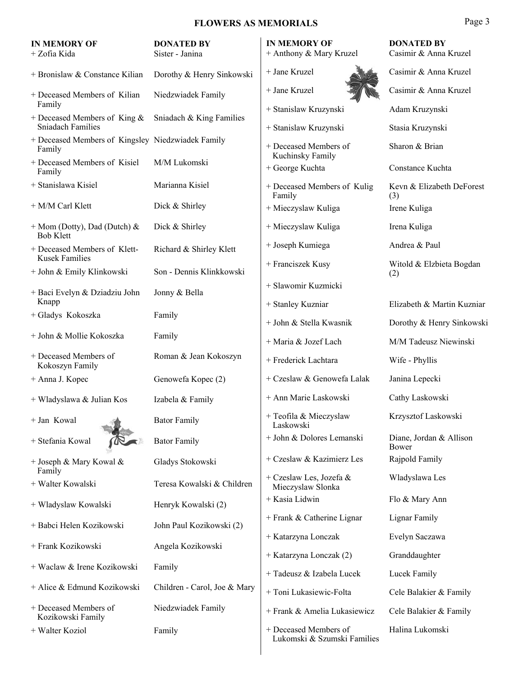| <b>IN MEMORY OF</b><br>+ Zofia Kida                         | <b>DONATED BY</b><br>Sister - Janina | <b>IN MEMORY OF</b><br>+ Anthony & Mary Kruzel       | <b>DONATED BY</b><br>Casimir & Anna Kruzel |
|-------------------------------------------------------------|--------------------------------------|------------------------------------------------------|--------------------------------------------|
| + Bronislaw & Constance Kilian                              | Dorothy & Henry Sinkowski            | + Jane Kruzel                                        | Casimir & Anna Kruzel                      |
| + Deceased Members of Kilian                                | Niedzwiadek Family                   | + Jane Kruzel                                        | Casimir & Anna Kruzel                      |
| Family<br>+ Deceased Members of King $\&$                   | Sniadach & King Families             | + Stanislaw Kruzynski                                | Adam Kruzynski                             |
| <b>Sniadach Families</b>                                    |                                      | + Stanislaw Kruzynski                                | Stasia Kruzynski                           |
| + Deceased Members of Kingsley Niedzwiadek Family<br>Family |                                      | + Deceased Members of<br>Kuchinsky Family            | Sharon & Brian                             |
| + Deceased Members of Kisiel<br>Family                      | M/M Lukomski                         | + George Kuchta                                      | Constance Kuchta                           |
| + Stanislawa Kisiel                                         | Marianna Kisiel                      | + Deceased Members of Kulig<br>Family                | Kevn & Elizabeth DeForest<br>(3)           |
| + M/M Carl Klett                                            | Dick & Shirley                       | + Mieczyslaw Kuliga                                  | Irene Kuliga                               |
| $+$ Mom (Dotty), Dad (Dutch) &<br><b>Bob Klett</b>          | Dick & Shirley                       | + Mieczyslaw Kuliga                                  | Irena Kuliga                               |
| + Deceased Members of Klett-<br><b>Kusek Families</b>       | Richard & Shirley Klett              | + Joseph Kumiega                                     | Andrea & Paul                              |
| + John & Emily Klinkowski                                   | Son - Dennis Klinkkowski             | + Franciszek Kusy                                    | Witold & Elzbieta Bogdan<br>(2)            |
| + Baci Evelyn & Dziadziu John                               | Jonny & Bella                        | + Slawomir Kuzmicki                                  |                                            |
| Knapp                                                       |                                      | + Stanley Kuzniar                                    | Elizabeth & Martin Kuzniar                 |
| + Gladys Kokoszka                                           | Family                               | + John & Stella Kwasnik                              | Dorothy & Henry Sinkowski                  |
| + John & Mollie Kokoszka                                    | Family                               | + Maria & Jozef Lach                                 | M/M Tadeusz Niewinski                      |
| + Deceased Members of<br>Kokoszyn Family                    | Roman & Jean Kokoszyn                | + Frederick Lachtara                                 | Wife - Phyllis                             |
| + Anna J. Kopec                                             | Genowefa Kopec (2)                   | + Czeslaw & Genowefa Lalak                           | Janina Lepecki                             |
| + Wladyslawa & Julian Kos                                   | Izabela & Family                     | + Ann Marie Laskowski                                | Cathy Laskowski                            |
| $+$ Jan Kowal                                               | <b>Bator Family</b>                  | + Teofila & Mieczyslaw<br>Laskowski                  | Krzysztof Laskowski                        |
| + Stefania Kowal                                            | <b>Bator Family</b>                  | + John & Dolores Lemanski                            | Diane, Jordan & Allison<br>Bower           |
| + Joseph & Mary Kowal &<br>Family                           | Gladys Stokowski                     | + Czeslaw & Kazimierz Les                            | Rajpold Family                             |
| + Walter Kowalski                                           | Teresa Kowalski & Children           | + Czeslaw Les, Jozefa &<br>Mieczyslaw Slonka         | Wladyslawa Les                             |
| + Wladyslaw Kowalski                                        | Henryk Kowalski (2)                  | + Kasia Lidwin                                       | Flo & Mary Ann                             |
| + Babci Helen Kozikowski                                    | John Paul Kozikowski (2)             | + Frank & Catherine Lignar                           | Lignar Family                              |
| + Frank Kozikowski                                          | Angela Kozikowski                    | + Katarzyna Lonczak                                  | Evelyn Saczawa                             |
| + Waclaw & Irene Kozikowski                                 | Family                               | + Katarzyna Lonczak (2)                              | Granddaughter                              |
|                                                             |                                      | + Tadeusz & Izabela Lucek                            | Lucek Family                               |
| + Alice & Edmund Kozikowski                                 | Children - Carol, Joe & Mary         | + Toni Lukasiewic-Folta                              | Cele Balakier & Family                     |
| + Deceased Members of<br>Kozikowski Family                  | Niedzwiadek Family                   | + Frank & Amelia Lukasiewicz                         | Cele Balakier & Family                     |
| + Walter Koziol                                             | Family                               | + Deceased Members of<br>Lukomski & Szumski Families | Halina Lukomski                            |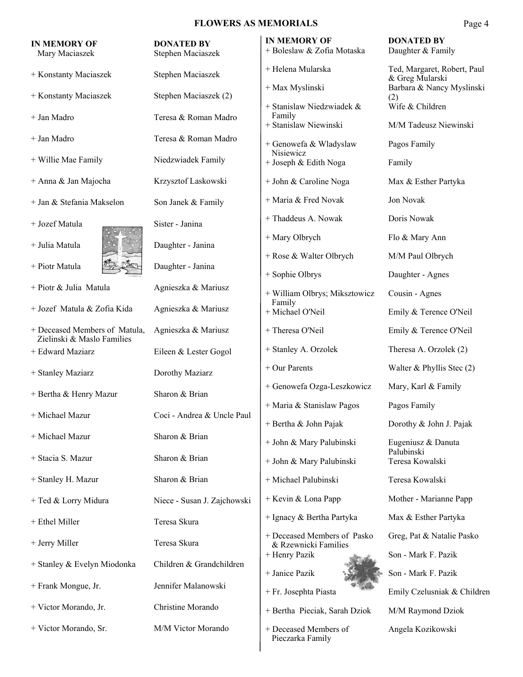| <b>IN MEMORY OF</b><br>Mary Maciaszek                       | <b>DONATED BY</b><br>Stephen Maciaszek | <b>IN MEMORY OF</b><br>+ Boleslaw & Zofia Motaska            | <b>DONATED BY</b><br>Daughter & Family         |
|-------------------------------------------------------------|----------------------------------------|--------------------------------------------------------------|------------------------------------------------|
| + Konstanty Maciaszek                                       | Stephen Maciaszek                      | + Helena Mularska                                            | Ted, Margaret, Robert, Paul<br>& Greg Mularski |
| + Konstanty Maciaszek                                       | Stephen Maciaszek (2)                  | + Max Myslinski                                              | Barbara & Nancy Myslinski<br>(2)               |
| + Jan Madro                                                 | Teresa & Roman Madro                   | + Stanislaw Niedzwiadek &<br>Family<br>+ Stanislaw Niewinski | Wife & Children<br>M/M Tadeusz Niewinski       |
| + Jan Madro                                                 | Teresa & Roman Madro                   | + Genowefa & Wladyslaw                                       | Pagos Family                                   |
| + Willie Mae Family                                         | Niedzwiadek Family                     | Nisiewicz<br>+ Joseph & Edith Noga                           | Family                                         |
| + Anna & Jan Majocha                                        | Krzysztof Laskowski                    | + John & Caroline Noga                                       | Max & Esther Partyka                           |
| + Jan & Stefania Makselon                                   | Son Janek & Family                     | + Maria & Fred Novak                                         | Jon Novak                                      |
| + Jozef Matula                                              | Sister - Janina                        | + Thaddeus A. Nowak                                          | Doris Nowak                                    |
| + Julia Matula                                              | Daughter - Janina                      | + Mary Olbrych                                               | Flo & Mary Ann                                 |
| + Piotr Matula                                              | Daughter - Janina                      | + Rose & Walter Olbrych                                      | M/M Paul Olbrych<br>Daughter - Agnes           |
| + Piotr & Julia Matula                                      | Agnieszka & Mariusz                    | + Sophie Olbrys<br>+ William Olbrys; Miksztowicz             | Cousin - Agnes                                 |
| + Jozef Matula & Zofia Kida                                 | Agnieszka & Mariusz                    | Family<br>+ Michael O'Neil                                   | Emily & Terence O'Neil                         |
| + Deceased Members of Matula,<br>Zielinski & Maslo Families | Agnieszka & Mariusz                    | + Theresa O'Neil                                             | Emily & Terence O'Neil                         |
| + Edward Maziarz                                            | Eileen & Lester Gogol                  | + Stanley A. Orzolek                                         | Theresa A. Orzolek (2)                         |
| + Stanley Maziarz                                           | Dorothy Maziarz                        | + Our Parents                                                | Walter & Phyllis Stec (2)                      |
| + Bertha & Henry Mazur                                      | Sharon & Brian                         | + Genowefa Ozga-Leszkowicz                                   | Mary, Karl & Family                            |
| + Michael Mazur                                             | Coci - Andrea & Uncle Paul             | + Maria & Stanislaw Pagos                                    | Pagos Family                                   |
| + Michael Mazur                                             | Sharon & Brian                         | + Bertha & John Pajak                                        | Dorothy & John J. Pajak                        |
| + Stacia S. Mazur                                           | Sharon & Brian                         | + John & Mary Palubinski                                     | Eugeniusz & Danuta<br>Palubinski               |
|                                                             | Sharon & Brian                         | + John & Mary Palubinski                                     | Teresa Kowalski                                |
| + Stanley H. Mazur                                          |                                        | + Michael Palubinski                                         | Teresa Kowalski                                |
| + Ted & Lorry Midura                                        | Niece - Susan J. Zajchowski            | + Kevin & Lona Papp                                          | Mother - Marianne Papp                         |
| + Ethel Miller                                              | Teresa Skura                           | + Ignacy & Bertha Partyka                                    | Max & Esther Partyka                           |
| + Jerry Miller                                              | Teresa Skura                           | + Deceased Members of Pasko<br>& Rzewnicki Families          | Greg, Pat & Natalie Pasko                      |
| + Stanley & Evelyn Miodonka                                 | Children & Grandchildren               | + Henry Pazik<br>+ Janice Pazik                              | Son - Mark F. Pazik<br>Son - Mark F. Pazik     |
| + Frank Mongue, Jr.                                         | Jennifer Malanowski                    | + Fr. Josephta Piasta                                        | Emily Czelusniak & Children                    |
| + Victor Morando, Jr.                                       | Christine Morando                      | + Bertha Pieciak, Sarah Dziok                                | M/M Raymond Dziok                              |
| + Victor Morando, Sr.                                       | M/M Victor Morando                     | + Deceased Members of<br>Pieczarka Family                    | Angela Kozikowski                              |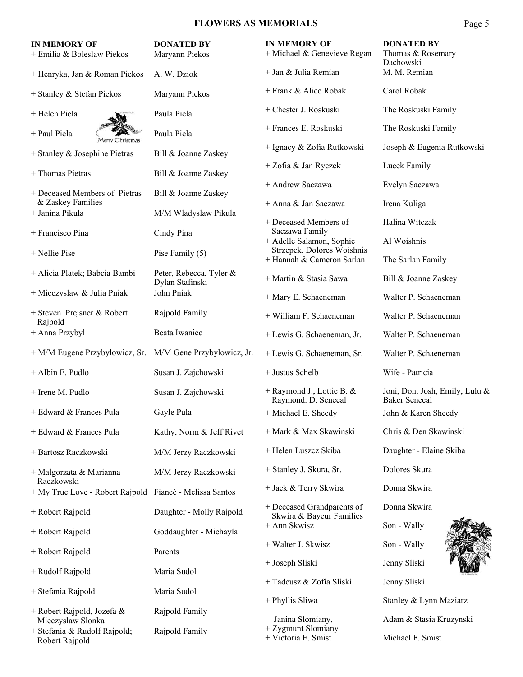| <b>IN MEMORY OF</b><br>+ Emilia & Boleslaw Piekos                   | <b>DONATED BY</b><br>Maryann Piekos | <b>IN MEMORY OF</b><br>+ Michael & Genevieve Regan            | <b>DONATED BY</b><br>Thomas & Rosemary<br>Dachowski    |
|---------------------------------------------------------------------|-------------------------------------|---------------------------------------------------------------|--------------------------------------------------------|
| + Henryka, Jan & Roman Piekos                                       | A. W. Dziok                         | + Jan & Julia Remian                                          | M. M. Remian                                           |
| + Stanley & Stefan Piekos                                           | Maryann Piekos                      | + Frank & Alice Robak                                         | Carol Robak                                            |
| + Helen Piela                                                       | Paula Piela                         | + Chester J. Roskuski                                         | The Roskuski Family                                    |
| + Paul Piela<br>Merry Christmas                                     | Paula Piela                         | + Frances E. Roskuski                                         | The Roskuski Family                                    |
| + Stanley & Josephine Pietras                                       | Bill & Joanne Zaskey                | + Ignacy & Zofia Rutkowski                                    | Joseph & Eugenia Rutkowski                             |
| + Thomas Pietras                                                    | Bill & Joanne Zaskey                | + Zofia & Jan Ryczek                                          | Lucek Family                                           |
| + Deceased Members of Pietras                                       | Bill & Joanne Zaskey                | + Andrew Saczawa                                              | Evelyn Saczawa                                         |
| & Zaskey Families<br>+ Janina Pikula                                | M/M Wladyslaw Pikula                | + Anna & Jan Saczawa                                          | Irena Kuliga                                           |
| + Francisco Pina                                                    | Cindy Pina                          | + Deceased Members of<br>Saczawa Family                       | Halina Witczak                                         |
| $+$ Nellie Pise                                                     | Pise Family (5)                     | + Adelle Salamon, Sophie<br>Strzepek, Dolores Woishnis        | Al Woishnis                                            |
| + Alicia Platek; Babcia Bambi                                       | Peter, Rebecca, Tyler &             | + Hannah & Cameron Sarlan                                     | The Sarlan Family                                      |
| + Mieczyslaw & Julia Pniak                                          | Dylan Stafinski<br>John Pniak       | + Martin & Stasia Sawa                                        | Bill & Joanne Zaskey                                   |
|                                                                     |                                     | + Mary E. Schaeneman                                          | Walter P. Schaeneman                                   |
| + Steven Prejsner & Robert<br>Rajpold                               | Rajpold Family                      | + William F. Schaeneman                                       | Walter P. Schaeneman                                   |
| + Anna Przybyl                                                      | Beata Iwaniec                       | + Lewis G. Schaeneman, Jr.                                    | Walter P. Schaeneman                                   |
| + M/M Eugene Przybylowicz, Sr. M/M Gene Przybylowicz, Jr.           |                                     | + Lewis G. Schaeneman, Sr.                                    | Walter P. Schaeneman                                   |
| + Albin E. Pudlo                                                    | Susan J. Zajchowski                 | + Justus Schelb                                               | Wife - Patricia                                        |
| + Irene M. Pudlo                                                    | Susan J. Zajchowski                 | + Raymond J., Lottie B. &<br>Raymond. D. Senecal              | Joni, Don, Josh, Emily, Lulu &<br><b>Baker Senecal</b> |
| + Edward & Frances Pula                                             | Gayle Pula                          | + Michael E. Sheedy                                           | John & Karen Sheedy                                    |
| + Edward & Frances Pula                                             | Kathy, Norm & Jeff Rivet            | + Mark & Max Skawinski                                        | Chris & Den Skawinski                                  |
| + Bartosz Raczkowski                                                | M/M Jerzy Raczkowski                | + Helen Luszcz Skiba                                          | Daughter - Elaine Skiba                                |
| + Malgorzata & Marianna<br>Raczkowski                               | M/M Jerzy Raczkowski                | + Stanley J. Skura, Sr.                                       | Dolores Skura                                          |
| + My True Love - Robert Rajpold Fiancé - Melissa Santos             |                                     | + Jack & Terry Skwira                                         | Donna Skwira                                           |
| + Robert Rajpold                                                    | Daughter - Molly Rajpold            | + Deceased Grandparents of<br>Skwira & Bayeur Families        | Donna Skwira                                           |
| + Robert Rajpold                                                    | Goddaughter - Michayla              | + Ann Skwisz                                                  | Son - Wally                                            |
| + Robert Rajpold                                                    | Parents                             | + Walter J. Skwisz                                            | Son - Wally                                            |
| + Rudolf Rajpold                                                    | Maria Sudol                         | + Joseph Sliski                                               | Jenny Sliski                                           |
| + Stefania Rajpold                                                  | Maria Sudol                         | + Tadeusz & Zofia Sliski                                      | Jenny Sliski                                           |
| + Robert Rajpold, Jozefa &                                          | Rajpold Family                      | + Phyllis Sliwa                                               | Stanley & Lynn Maziarz                                 |
| Mieczyslaw Slonka<br>+ Stefania & Rudolf Rajpold;<br>Robert Rajpold | Rajpold Family                      | Janina Slomiany,<br>+ Zygmunt Slomiany<br>+ Victoria E. Smist | Adam & Stasia Kruzynski<br>Michael F. Smist            |
|                                                                     |                                     |                                                               |                                                        |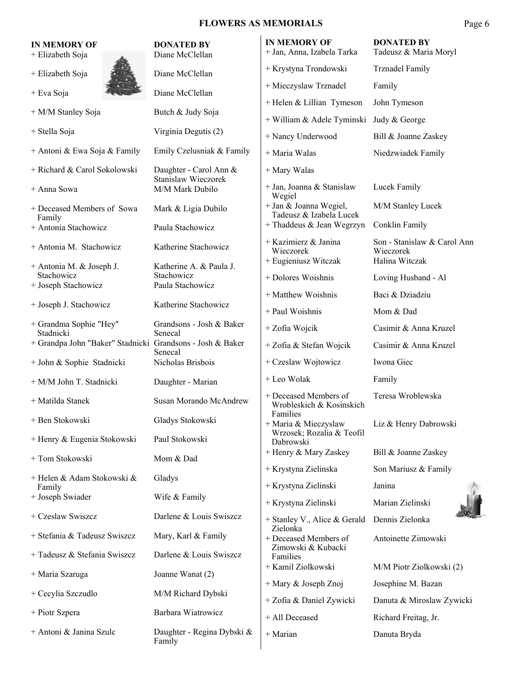| <b>IN MEMORY OF</b><br>+ Elizabeth Soja                   | <b>DONATED BY</b><br>Diane McClellan          | <b>IN MEMORY OF</b><br>+ Jan, Anna, Izabela Tarka             | <b>DONATED BY</b><br>Tadeusz & Maria Moryl |
|-----------------------------------------------------------|-----------------------------------------------|---------------------------------------------------------------|--------------------------------------------|
| + Elizabeth Soja                                          | Diane McClellan                               | + Krystyna Trondowski                                         | <b>Trznadel Family</b>                     |
| + Eva Soja                                                | Diane McClellan                               | + Mieczyslaw Trznadel                                         | Family                                     |
| + M/M Stanley Soja                                        | Butch & Judy Soja                             | + Helen & Lillian Tymeson                                     | John Tymeson                               |
|                                                           |                                               | + William & Adele Tyminski                                    | Judy & George                              |
| + Stella Soja                                             | Virginia Degutis (2)                          | + Nancy Underwood                                             | Bill & Joanne Zaskey                       |
| + Antoni & Ewa Soja & Family                              | Emily Czelusniak & Family                     | + Maria Walas                                                 | Niedzwiadek Family                         |
| + Richard & Carol Sokolowski                              | Daughter - Carol Ann &<br>Stanislaw Wieczorek | + Mary Walas                                                  |                                            |
| + Anna Sowa                                               | M/M Mark Dubilo                               | + Jan, Joanna & Stanislaw<br>Wegiel                           | Lucek Family                               |
| + Deceased Members of Sowa<br>Family                      | Mark & Ligia Dubilo                           | + Jan & Joanna Wegiel,<br>Tadeusz & Izabela Lucek             | M/M Stanley Lucek                          |
| + Antonia Stachowicz                                      | Paula Stachowicz                              | + Thaddeus & Jean Wegrzyn                                     | Conklin Family                             |
| + Antonia M. Stachowicz                                   | Katherine Stachowicz                          | + Kazimierz & Janina<br>Wieczorek                             | Son - Stanislaw & Carol Ann<br>Wieczorek   |
| + Antonia M. & Joseph J.                                  | Katherine A. & Paula J.                       | + Eugieniusz Witczak                                          | Halina Witczak                             |
| Stachowicz<br>+ Joseph Stachowicz                         | Stachowicz<br>Paula Stachowicz                | + Dolores Woishnis                                            | Loving Husband - Al                        |
|                                                           |                                               | + Matthew Woishnis                                            | Baci & Dziadziu                            |
| + Joseph J. Stachowicz                                    | Katherine Stachowicz                          | + Paul Woishnis                                               | Mom & Dad                                  |
| + Grandma Sophie "Hey"<br>Stadnicki                       | Grandsons - Josh & Baker<br>Senecal           | + Zofia Wojcik                                                | Casimir & Anna Kruzel                      |
| + Grandpa John "Baker" Stadnicki Grandsons - Josh & Baker | Senecal                                       | + Zofia & Stefan Wojcik                                       | Casimir & Anna Kruzel                      |
| + John & Sophie Stadnicki                                 | Nicholas Brisbois                             | + Czeslaw Wojtowicz                                           | Iwona Giec                                 |
| + M/M John T. Stadnicki                                   | Daughter - Marian                             | + Leo Wolak                                                   | Family                                     |
| + Matilda Stanek                                          | Susan Morando McAndrew                        | + Deceased Members of<br>Wrobleskich & Kosinskich<br>Families | Teresa Wroblewska                          |
| + Ben Stokowski                                           | Gladys Stokowski                              | + Maria & Mieczyslaw                                          | Liz & Henry Dabrowski                      |
| + Henry & Eugenia Stokowski                               | Paul Stokowski                                | Wrzosek; Rozalia & Teofil<br>Dabrowski                        |                                            |
| + Tom Stokowski                                           | Mom & Dad                                     | + Henry & Mary Zaskey                                         | Bill & Joanne Zaskey                       |
| + Helen & Adam Stokowski &                                | Gladys                                        | + Krystyna Zielinska                                          | Son Mariusz & Family<br>Janina             |
| Family<br>+ Joseph Swiader                                | Wife & Family                                 | + Krystyna Zielinski                                          | Marian Zielinski                           |
| + Czeslaw Swiszcz                                         | Darlene & Louis Swiszcz                       | + Krystyna Zielinski<br>+ Stanley V., Alice & Gerald          | Dennis Zielonka                            |
| + Stefania & Tadeusz Swiszcz                              | Mary, Karl & Family                           | Zielonka<br>+ Deceased Members of                             | Antoinette Zimowski                        |
| + Tadeusz & Stefania Swiszcz                              | Darlene & Louis Swiszcz                       | Zimowski & Kubacki<br>Families                                |                                            |
| + Maria Szaruga                                           | Joanne Wanat (2)                              | + Kamil Ziolkowski                                            | M/M Piotr Ziolkowski (2)                   |
| + Cecylia Szczudlo                                        | M/M Richard Dybski                            | + Mary & Joseph Znoj                                          | Josephine M. Bazan                         |
|                                                           |                                               | + Zofia & Daniel Zywicki                                      | Danuta & Miroslaw Zywicki                  |
| + Piotr Szpera                                            | Barbara Wiatrowicz                            | + All Deceased                                                | Richard Freitag, Jr.                       |
| + Antoni & Janina Szulc                                   | Daughter - Regina Dybski &<br>Family          | + Marian                                                      | Danuta Bryda                               |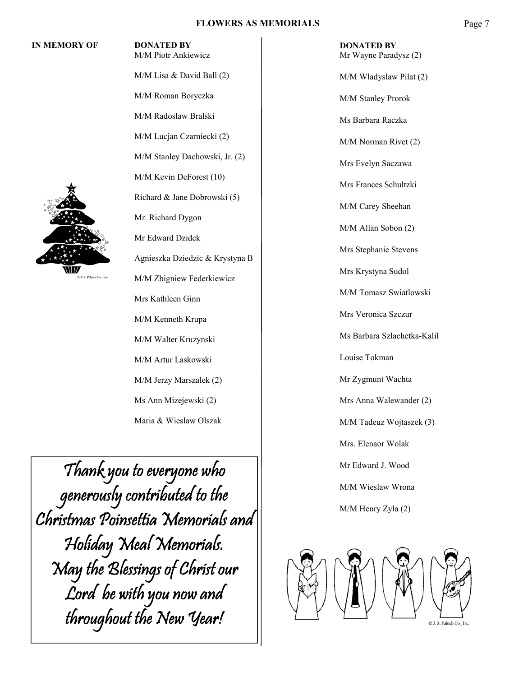#### **IN MEMORY OF DONATED BY**



M/M Lisa & David Ball (2) M/M Roman Boryczka M/M Radoslaw Bralski M/M Lucjan Czarniecki (2) M/M Stanley Dachowski, Jr. (2) M/M Kevin DeForest (10) Richard & Jane Dobrowski (5) Mr. Richard Dygon Mr Edward Dzidek Agnieszka Dziedzic & Krystyna B J.S. Paluch Co., Inc. M/M Zbigniew Federkiewicz Mrs Kathleen Ginn M/M Kenneth Krupa M/M Walter Kruzynski M/M Artur Laskowski M/M Jerzy Marszalek (2) Ms Ann Mizejewski (2) Maria & Wieslaw Olszak

M/M Piotr Ankiewicz

Thank you to everyone who generously contributed to the Christmas Poinsettia Memorials and Holiday Meal Memorials. May the Blessings of Christ our Lord be with you now and throughout the New Year!

 **DONATED BY**  Mr Wayne Paradysz (2) M/M Wladyslaw Pilat (2) M/M Stanley Prorok Ms Barbara Raczka M/M Norman Rivet (2) Mrs Evelyn Saczawa Mrs Frances Schultzki M/M Carey Sheehan M/M Allan Sobon (2) Mrs Stephanie Stevens Mrs Krystyna Sudol M/M Tomasz Swiatlowski Mrs Veronica Szczur Ms Barbara Szlachetka-Kalil Louise Tokman Mr Zygmunt Wachta Mrs Anna Walewander (2) M/M Tadeuz Wojtaszek (3) Mrs. Elenaor Wolak Mr Edward J. Wood M/M Wieslaw Wrona M/M Henry Zyla (2)

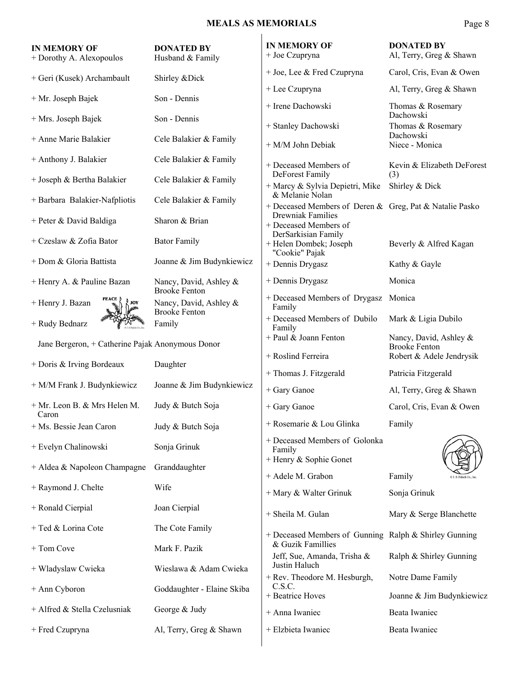### **MEALS AS MEMORIALS**

| ı. |  |
|----|--|
|----|--|

| <b>IN MEMORY OF</b><br>+ Dorothy A. Alexopoulos  | <b>DONATED BY</b><br>Husband & Family          | <b>IN MEMORY OF</b><br>+ Joe Czupryna                                      | <b>DONATED BY</b><br>Al, Terry, Greg & Shawn   |
|--------------------------------------------------|------------------------------------------------|----------------------------------------------------------------------------|------------------------------------------------|
| + Geri (Kusek) Archambault                       | Shirley & Dick                                 | + Joe, Lee & Fred Czupryna                                                 | Carol, Cris, Evan & Owen                       |
| + Mr. Joseph Bajek                               | Son - Dennis                                   | + Lee Czupryna                                                             | Al, Terry, Greg & Shawn                        |
|                                                  |                                                | + Irene Dachowski                                                          | Thomas & Rosemary<br>Dachowski                 |
| + Mrs. Joseph Bajek                              | Son - Dennis                                   | + Stanley Dachowski                                                        | Thomas & Rosemary                              |
| + Anne Marie Balakier                            | Cele Balakier & Family                         | + M/M John Debiak                                                          | Dachowski<br>Niece - Monica                    |
| + Anthony J. Balakier                            | Cele Balakier & Family                         | + Deceased Members of                                                      | Kevin & Elizabeth DeForest                     |
| + Joseph & Bertha Balakier                       | Cele Balakier & Family                         | DeForest Family<br>+ Marcy & Sylvia Depietri, Mike                         | (3)<br>Shirley & Dick                          |
| + Barbara Balakier-Nafpliotis                    | Cele Balakier & Family                         | & Melanie Nolan<br>+ Deceased Members of Deren & Greg, Pat & Natalie Pasko |                                                |
| + Peter & David Baldiga                          | Sharon & Brian                                 | <b>Drewniak Families</b><br>+ Deceased Members of                          |                                                |
| + Czeslaw & Zofia Bator                          | <b>Bator Family</b>                            | DerSarkisian Family<br>+ Helen Dombek; Joseph<br>"Cookie" Pajak            | Beverly & Alfred Kagan                         |
| + Dom & Gloria Battista                          | Joanne & Jim Budynkiewicz                      | + Dennis Drygasz                                                           | Kathy & Gayle                                  |
| + Henry A. & Pauline Bazan                       | Nancy, David, Ashley &<br><b>Brooke Fenton</b> | + Dennis Drygasz                                                           | Monica                                         |
| + Henry J. Bazan<br>JOY                          | Nancy, David, Ashley &<br><b>Brooke Fenton</b> | + Deceased Members of Drygasz<br>Family                                    | Monica                                         |
| + Rudy Bednarz                                   | Family                                         | + Deceased Members of Dubilo<br>Family                                     | Mark & Ligia Dubilo                            |
| Jane Bergeron, + Catherine Pajak Anonymous Donor |                                                | + Paul & Joann Fenton                                                      | Nancy, David, Ashley &<br><b>Brooke Fenton</b> |
|                                                  |                                                | + Roslind Ferreira                                                         | Robert & Adele Jendrysik                       |
| $+$ Doris & Irving Bordeaux                      | Daughter                                       | + Thomas J. Fitzgerald                                                     | Patricia Fitzgerald                            |
| + M/M Frank J. Budynkiewicz                      | Joanne & Jim Budynkiewicz                      | + Gary Ganoe                                                               | Al, Terry, Greg & Shawn                        |
| + Mr. Leon B. & Mrs Helen M.<br>Caron            | Judy & Butch Soja                              | + Gary Ganoe                                                               | Carol, Cris, Evan & Owen                       |
| + Ms. Bessie Jean Caron                          | Judy & Butch Soja                              | + Rosemarie & Lou Glinka                                                   | Family                                         |
| + Evelyn Chalinowski                             | Sonja Grinuk                                   | + Deceased Members of Golonka<br>Family                                    |                                                |
| + Aldea & Napoleon Champagne                     | Granddaughter                                  | + Henry & Sophie Gonet                                                     |                                                |
| + Raymond J. Chelte                              | Wife                                           | + Adele M. Grabon                                                          | Family                                         |
| + Ronald Cierpial                                | Joan Cierpial                                  | + Mary & Walter Grinuk<br>+ Sheila M. Gulan                                | Sonja Grinuk<br>Mary & Serge Blanchette        |
| + Ted & Lorina Cote                              | The Cote Family                                |                                                                            |                                                |
| + Tom Cove                                       | Mark F. Pazik                                  | + Deceased Members of Gunning Ralph & Shirley Gunning<br>& Guzik Famillies |                                                |
|                                                  |                                                | Jeff, Sue, Amanda, Trisha &<br>Justin Haluch                               | Ralph & Shirley Gunning                        |
| + Wladyslaw Cwieka                               | Wieslawa & Adam Cwieka                         | + Rev. Theodore M. Hesburgh,                                               | Notre Dame Family                              |
| + Ann Cyboron                                    | Goddaughter - Elaine Skiba                     | C.S.C.<br>+ Beatrice Hoves                                                 | Joanne & Jim Budynkiewicz                      |
| + Alfred & Stella Czelusniak                     | George & Judy                                  | + Anna Iwaniec                                                             | Beata Iwaniec                                  |
| + Fred Czupryna                                  | Al, Terry, Greg & Shawn                        | + Elzbieta Iwaniec                                                         | Beata Iwaniec                                  |
|                                                  |                                                |                                                                            |                                                |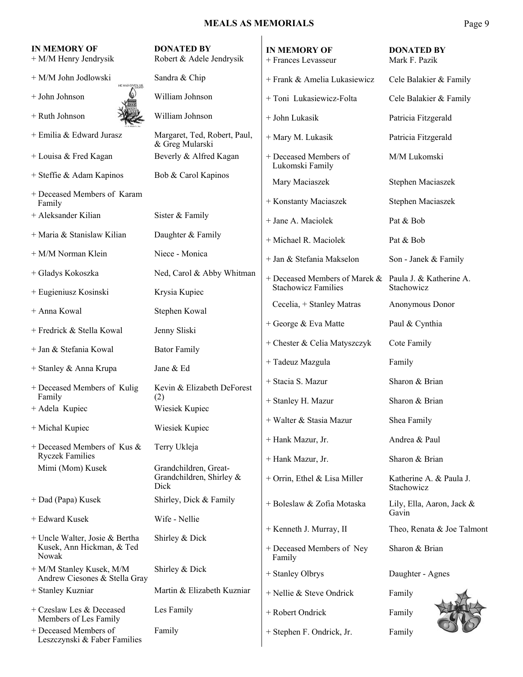### **MEALS AS MEMORIALS** Page 9

| <b>IN MEMORY OF</b><br>+ M/M Henry Jendrysik                         | <b>DONATED BY</b><br>Robert & Adele Jendrysik             | <b>IN MEMORY OF</b><br>+ Frances Levasseur            | <b>DONATED BY</b><br>Mark F. Pazik    |
|----------------------------------------------------------------------|-----------------------------------------------------------|-------------------------------------------------------|---------------------------------------|
| + M/M John Jodlowski<br>HE HAS GIVEN US                              | Sandra & Chip                                             | + Frank & Amelia Lukasiewicz                          | Cele Balakier & Family                |
| + John Johnson                                                       | William Johnson                                           | + Toni Lukasiewicz-Folta                              | Cele Balakier & Family                |
| + Ruth Johnson                                                       | William Johnson                                           | + John Lukasik                                        | Patricia Fitzgerald                   |
| + Emilia & Edward Jurasz                                             | Margaret, Ted, Robert, Paul,<br>& Greg Mularski           | + Mary M. Lukasik                                     | Patricia Fitzgerald                   |
| + Louisa & Fred Kagan                                                | Beverly & Alfred Kagan                                    | + Deceased Members of<br>Lukomski Family              | M/M Lukomski                          |
| + Steffie & Adam Kapinos                                             | Bob & Carol Kapinos                                       | Mary Maciaszek                                        | Stephen Maciaszek                     |
| + Deceased Members of Karam<br>Family                                |                                                           | + Konstanty Maciaszek                                 | Stephen Maciaszek                     |
| + Aleksander Kilian                                                  | Sister & Family                                           | + Jane A. Maciolek                                    | Pat & Bob                             |
| + Maria & Stanislaw Kilian                                           | Daughter & Family                                         | + Michael R. Maciolek                                 | Pat & Bob                             |
| + M/M Norman Klein                                                   | Niece - Monica                                            | + Jan & Stefania Makselon                             | Son - Janek & Family                  |
| + Gladys Kokoszka                                                    | Ned, Carol & Abby Whitman                                 | + Deceased Members of Marek & Paula J. & Katherine A. |                                       |
| + Eugieniusz Kosinski                                                | Krysia Kupiec                                             | <b>Stachowicz Families</b>                            | Stachowicz                            |
| + Anna Kowal                                                         | Stephen Kowal                                             | Cecelia, + Stanley Matras                             | Anonymous Donor                       |
| + Fredrick & Stella Kowal                                            | Jenny Sliski                                              | + George & Eva Matte                                  | Paul & Cynthia                        |
| + Jan & Stefania Kowal                                               | <b>Bator Family</b>                                       | + Chester & Celia Matyszczyk                          | Cote Family                           |
| + Stanley & Anna Krupa                                               | Jane & Ed                                                 | + Tadeuz Mazgula                                      | Family                                |
| + Deceased Members of Kulig                                          | Kevin & Elizabeth DeForest                                | + Stacia S. Mazur                                     | Sharon & Brian                        |
| Family<br>+ Adela Kupiec                                             | (2)<br>Wiesiek Kupiec                                     | + Stanley H. Mazur                                    | Sharon & Brian                        |
| + Michal Kupiec                                                      | Wiesiek Kupiec                                            | + Walter & Stasia Mazur                               | Shea Family                           |
| + Deceased Members of Kus &                                          | Terry Ukleja                                              | + Hank Mazur, Jr.                                     | Andrea & Paul                         |
| <b>Ryczek Families</b>                                               |                                                           | + Hank Mazur, Jr.                                     | Sharon & Brian                        |
| Mimi (Mom) Kusek                                                     | Grandchildren, Great-<br>Grandchildren, Shirley &<br>Dick | + Orrin, Ethel & Lisa Miller                          | Katherine A. & Paula J.<br>Stachowicz |
| + Dad (Papa) Kusek                                                   | Shirley, Dick & Family                                    | + Boleslaw & Zofia Motaska                            | Lily, Ella, Aaron, Jack &             |
| + Edward Kusek                                                       | Wife - Nellie                                             | + Kenneth J. Murray, II                               | Gavin<br>Theo, Renata & Joe Talmont   |
| + Uncle Walter, Josie & Bertha<br>Kusek, Ann Hickman, & Ted<br>Nowak | Shirley & Dick                                            | + Deceased Members of Ney<br>Family                   | Sharon & Brian                        |
| + M/M Stanley Kusek, M/M<br>Andrew Ciesones & Stella Gray            | Shirley & Dick                                            | + Stanley Olbrys                                      | Daughter - Agnes                      |
| + Stanley Kuzniar                                                    | Martin & Elizabeth Kuzniar                                | + Nellie & Steve Ondrick                              | Family                                |
| + Czeslaw Les & Deceased<br>Members of Les Family                    | Les Family                                                | + Robert Ondrick                                      | Family                                |
| + Deceased Members of<br>Leszczynski & Faber Families                | Family                                                    | + Stephen F. Ondrick, Jr.                             | Family                                |